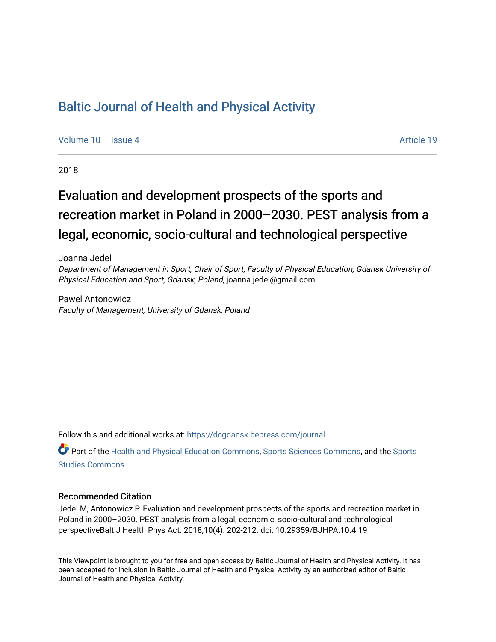## [Baltic Journal of Health and Physical Activity](https://dcgdansk.bepress.com/journal)

[Volume 10](https://dcgdansk.bepress.com/journal/vol10) | [Issue 4](https://dcgdansk.bepress.com/journal/vol10/iss4) Article 19

2018

# Evaluation and development prospects of the sports and recreation market in Poland in 2000–2030. PEST analysis from a legal, economic, socio-cultural and technological perspective

Joanna Jedel Department of Management in Sport, Chair of Sport, Faculty of Physical Education, Gdansk University of Physical Education and Sport, Gdansk, Poland, joanna.jedel@gmail.com

Pawel Antonowicz Faculty of Management, University of Gdansk, Poland

Follow this and additional works at: [https://dcgdansk.bepress.com/journal](https://dcgdansk.bepress.com/journal?utm_source=dcgdansk.bepress.com%2Fjournal%2Fvol10%2Fiss4%2F19&utm_medium=PDF&utm_campaign=PDFCoverPages)

Part of the [Health and Physical Education Commons](http://network.bepress.com/hgg/discipline/1327?utm_source=dcgdansk.bepress.com%2Fjournal%2Fvol10%2Fiss4%2F19&utm_medium=PDF&utm_campaign=PDFCoverPages), [Sports Sciences Commons](http://network.bepress.com/hgg/discipline/759?utm_source=dcgdansk.bepress.com%2Fjournal%2Fvol10%2Fiss4%2F19&utm_medium=PDF&utm_campaign=PDFCoverPages), and the [Sports](http://network.bepress.com/hgg/discipline/1198?utm_source=dcgdansk.bepress.com%2Fjournal%2Fvol10%2Fiss4%2F19&utm_medium=PDF&utm_campaign=PDFCoverPages)  [Studies Commons](http://network.bepress.com/hgg/discipline/1198?utm_source=dcgdansk.bepress.com%2Fjournal%2Fvol10%2Fiss4%2F19&utm_medium=PDF&utm_campaign=PDFCoverPages) 

#### Recommended Citation

Jedel M, Antonowicz P. Evaluation and development prospects of the sports and recreation market in Poland in 2000–2030. PEST analysis from a legal, economic, socio-cultural and technological perspectiveBalt J Health Phys Act. 2018;10(4): 202-212. doi: 10.29359/BJHPA.10.4.19

This Viewpoint is brought to you for free and open access by Baltic Journal of Health and Physical Activity. It has been accepted for inclusion in Baltic Journal of Health and Physical Activity by an authorized editor of Baltic Journal of Health and Physical Activity.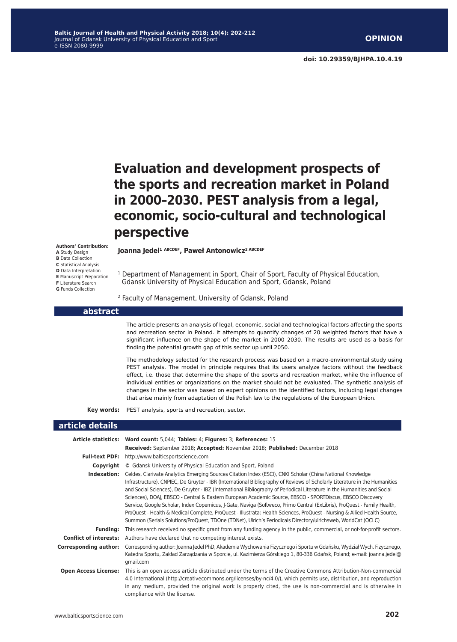# **Evaluation and development prospects of the sports and recreation market in Poland in 2000–2030. PEST analysis from a legal, economic, socio-cultural and technological perspective**

#### **Authors' Contribution:**

- **A** Study Design
- **B** Data Collection
- **C** Statistical Analysis
- **D** Data Interpretation
- **E** Manuscript Preparation
- **F** Literature Search
- **G** Funds Collection

**Joanna Jedel1 ABCDEF, Paweł Antonowicz2 ABCDEF**

<sup>1</sup> Department of Management in Sport, Chair of Sport, Faculty of Physical Education, Gdansk University of Physical Education and Sport, Gdansk, Poland

#### 2 Faculty of Management, University of Gdansk, Poland

#### **abstract**

The article presents an analysis of legal, economic, social and technological factors affecting the sports and recreation sector in Poland. It attempts to quantify changes of 20 weighted factors that have a significant influence on the shape of the market in 2000–2030. The results are used as a basis for finding the potential growth gap of this sector up until 2050.

The methodology selected for the research process was based on a macro-environmental study using PEST analysis. The model in principle requires that its users analyze factors without the feedback effect, i.e. those that determine the shape of the sports and recreation market, while the influence of individual entities or organizations on the market should not be evaluated. The synthetic analysis of changes in the sector was based on expert opinions on the identified factors, including legal changes that arise mainly from adaptation of the Polish law to the regulations of the European Union.

**Key words:** PEST analysis, sports and recreation, sector.

#### **article details**

|                               | Article statistics: Word count: 5,044; Tables: 4; Figures: 3; References: 15                                                                                                                                                                                                                                                                                                                                                                                                                                                                                                                                                                                                                                                                                                                                                                               |
|-------------------------------|------------------------------------------------------------------------------------------------------------------------------------------------------------------------------------------------------------------------------------------------------------------------------------------------------------------------------------------------------------------------------------------------------------------------------------------------------------------------------------------------------------------------------------------------------------------------------------------------------------------------------------------------------------------------------------------------------------------------------------------------------------------------------------------------------------------------------------------------------------|
|                               | Received: September 2018; Accepted: November 2018; Published: December 2018                                                                                                                                                                                                                                                                                                                                                                                                                                                                                                                                                                                                                                                                                                                                                                                |
| <b>Full-text PDF:</b>         | http://www.balticsportscience.com                                                                                                                                                                                                                                                                                                                                                                                                                                                                                                                                                                                                                                                                                                                                                                                                                          |
| Copyright                     | © Gdansk University of Physical Education and Sport, Poland                                                                                                                                                                                                                                                                                                                                                                                                                                                                                                                                                                                                                                                                                                                                                                                                |
| Indexation:                   | Celdes, Clarivate Analytics Emerging Sources Citation Index (ESCI), CNKI Scholar (China National Knowledge<br>Infrastructure), CNPIEC, De Gruyter - IBR (International Bibliography of Reviews of Scholarly Literature in the Humanities<br>and Social Sciences), De Gruyter - IBZ (International Bibliography of Periodical Literature in the Humanities and Social<br>Sciences), DOAJ, EBSCO - Central & Eastern European Academic Source, EBSCO - SPORTDiscus, EBSCO Discovery<br>Service, Google Scholar, Index Copernicus, J-Gate, Naviga (Softweco, Primo Central (ExLibris), ProQuest - Family Health,<br>ProQuest - Health & Medical Complete, ProQuest - Illustrata: Health Sciences, ProQuest - Nursing & Allied Health Source,<br>Summon (Serials Solutions/ProQuest, TDOne (TDNet), Ulrich's Periodicals Directory/ulrichsweb, WorldCat (OCLC) |
| <b>Funding:</b>               | This research received no specific grant from any funding agency in the public, commercial, or not-for-profit sectors.                                                                                                                                                                                                                                                                                                                                                                                                                                                                                                                                                                                                                                                                                                                                     |
| <b>Conflict of interests:</b> | Authors have declared that no competing interest exists.                                                                                                                                                                                                                                                                                                                                                                                                                                                                                                                                                                                                                                                                                                                                                                                                   |
| <b>Corresponding author:</b>  | Corresponding author: Joanna Jedel PhD, Akademia Wychowania Fizycznego i Sportu w Gdańsku, Wydział Wych. Fizycznego,<br>Katedra Sportu, Zakład Zarządzania w Sporcie, ul. Kazimierza Górskiego 1, 80-336 Gdańsk, Poland; e-mail: joanna.jedel@<br>gmail.com                                                                                                                                                                                                                                                                                                                                                                                                                                                                                                                                                                                                |
| <b>Open Access License:</b>   | This is an open access article distributed under the terms of the Creative Commons Attribution-Non-commercial<br>4.0 International (http://creativecommons.org/licenses/by-nc/4.0/), which permits use, distribution, and reproduction<br>in any medium, provided the original work is properly cited, the use is non-commercial and is otherwise in<br>compliance with the license.                                                                                                                                                                                                                                                                                                                                                                                                                                                                       |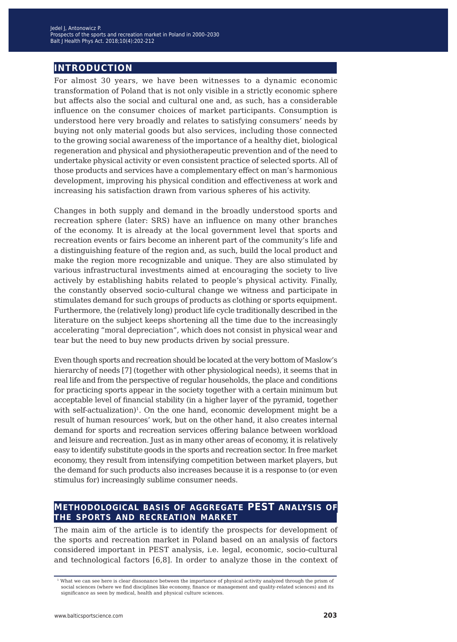## **introduction**

For almost 30 years, we have been witnesses to a dynamic economic transformation of Poland that is not only visible in a strictly economic sphere but affects also the social and cultural one and, as such, has a considerable influence on the consumer choices of market participants. Consumption is understood here very broadly and relates to satisfying consumers' needs by buying not only material goods but also services, including those connected to the growing social awareness of the importance of a healthy diet, biological regeneration and physical and physiotherapeutic prevention and of the need to undertake physical activity or even consistent practice of selected sports. All of those products and services have a complementary effect on man's harmonious development, improving his physical condition and effectiveness at work and increasing his satisfaction drawn from various spheres of his activity.

Changes in both supply and demand in the broadly understood sports and recreation sphere (later: SRS) have an influence on many other branches of the economy. It is already at the local government level that sports and recreation events or fairs become an inherent part of the community's life and a distinguishing feature of the region and, as such, build the local product and make the region more recognizable and unique. They are also stimulated by various infrastructural investments aimed at encouraging the society to live actively by establishing habits related to people's physical activity. Finally, the constantly observed socio-cultural change we witness and participate in stimulates demand for such groups of products as clothing or sports equipment. Furthermore, the (relatively long) product life cycle traditionally described in the literature on the subject keeps shortening all the time due to the increasingly accelerating "moral depreciation", which does not consist in physical wear and tear but the need to buy new products driven by social pressure.

Even though sports and recreation should be located at the very bottom of Maslow's hierarchy of needs [7] (together with other physiological needs), it seems that in real life and from the perspective of regular households, the place and conditions for practicing sports appear in the society together with a certain minimum but acceptable level of financial stability (in a higher layer of the pyramid, together with self-actualization)<sup>1</sup>. On the one hand, economic development might be a result of human resources' work, but on the other hand, it also creates internal demand for sports and recreation services offering balance between workload and leisure and recreation. Just as in many other areas of economy, it is relatively easy to identify substitute goods in the sports and recreation sector. In free market economy, they result from intensifying competition between market players, but the demand for such products also increases because it is a response to (or even stimulus for) increasingly sublime consumer needs.

## **methodological basis of aggregate PEST analysis of the sports and recreation market**

The main aim of the article is to identify the prospects for development of the sports and recreation market in Poland based on an analysis of factors considered important in PEST analysis, i.e. legal, economic, socio-cultural and technological factors [6,8]. In order to analyze those in the context of

<sup>1</sup> What we can see here is clear dissonance between the importance of physical activity analyzed through the prism of social sciences (where we find disciplines like economy, finance or management and quality-related sciences) and its significance as seen by medical, health and physical culture sciences.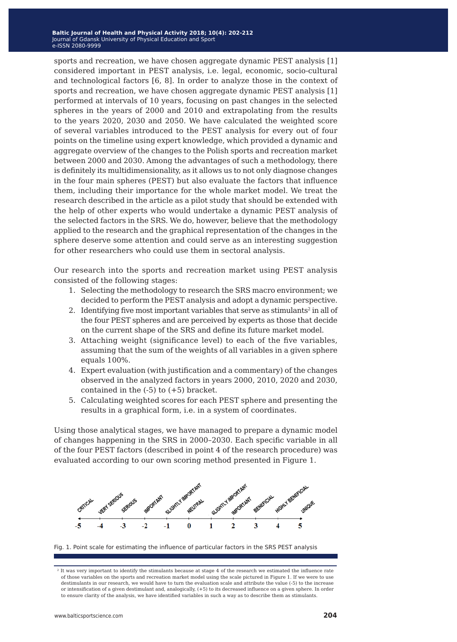sports and recreation, we have chosen aggregate dynamic PEST analysis [1] considered important in PEST analysis, i.e. legal, economic, socio-cultural and technological factors [6, 8]. In order to analyze those in the context of sports and recreation, we have chosen aggregate dynamic PEST analysis [1] performed at intervals of 10 years, focusing on past changes in the selected spheres in the years of 2000 and 2010 and extrapolating from the results to the years 2020, 2030 and 2050. We have calculated the weighted score of several variables introduced to the PEST analysis for every out of four points on the timeline using expert knowledge, which provided a dynamic and aggregate overview of the changes to the Polish sports and recreation market between 2000 and 2030. Among the advantages of such a methodology, there is definitely its multidimensionality, as it allows us to not only diagnose changes in the four main spheres (PEST) but also evaluate the factors that influence them, including their importance for the whole market model. We treat the research described in the article as a pilot study that should be extended with the help of other experts who would undertake a dynamic PEST analysis of the selected factors in the SRS. We do, however, believe that the methodology applied to the research and the graphical representation of the changes in the sphere deserve some attention and could serve as an interesting suggestion for other researchers who could use them in sectoral analysis.

Our research into the sports and recreation market using PEST analysis consisted of the following stages:

- 1. Selecting the methodology to research the SRS macro environment; we decided to perform the PEST analysis and adopt a dynamic perspective.
- 2. Identifying five most important variables that serve as stimulants<sup>2</sup> in all of the four PEST spheres and are perceived by experts as those that decide on the current shape of the SRS and define its future market model.
- 3. Attaching weight (significance level) to each of the five variables, assuming that the sum of the weights of all variables in a given sphere equals 100%.
- 4. Expert evaluation (with justification and a commentary) of the changes observed in the analyzed factors in years 2000, 2010, 2020 and 2030, contained in the  $(-5)$  to  $(+5)$  bracket.
- 5. Calculating weighted scores for each PEST sphere and presenting the results in a graphical form, i.e. in a system of coordinates.

Using those analytical stages, we have managed to prepare a dynamic model of changes happening in the SRS in 2000–2030. Each specific variable in all of the four PEST factors (described in point 4 of the research procedure) was evaluated according to our own scoring method presented in Figure 1.



Fig. 1. Point scale for estimating the influence of particular factors in the SRS PEST analysis

<sup>&</sup>lt;sup>2</sup> It was very important to identify the stimulants because at stage 4 of the research we estimated the influence rate of those variables on the sports and recreation market model using the scale pictured in Figure 1. If we were to use destimulants in our research, we would have to turn the evaluation scale and attribute the value (-5) to the increase or intensification of a given destimulant and, analogically, (+5) to its decreased influence on a given sphere. In order to ensure clarity of the analysis, we have identified variables in such a way as to describe them as stimulants.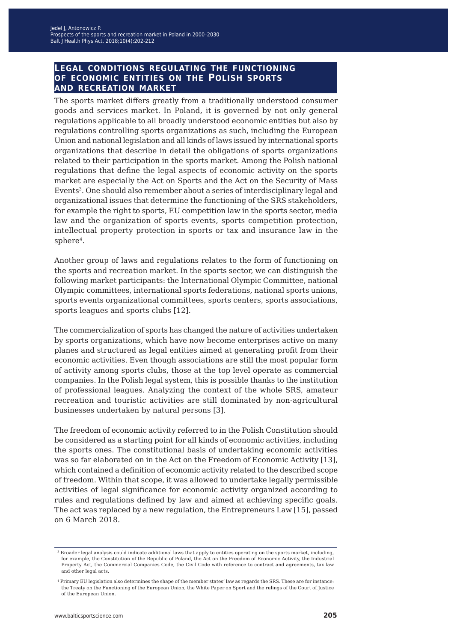### **legal conditions regulating the functioning of economic entities on the Polish sports and recreation market**

The sports market differs greatly from a traditionally understood consumer goods and services market. In Poland, it is governed by not only general regulations applicable to all broadly understood economic entities but also by regulations controlling sports organizations as such, including the European Union and national legislation and all kinds of laws issued by international sports organizations that describe in detail the obligations of sports organizations related to their participation in the sports market. Among the Polish national regulations that define the legal aspects of economic activity on the sports market are especially the Act on Sports and the Act on the Security of Mass Events3. One should also remember about a series of interdisciplinary legal and organizational issues that determine the functioning of the SRS stakeholders, for example the right to sports, EU competition law in the sports sector, media law and the organization of sports events, sports competition protection, intellectual property protection in sports or tax and insurance law in the sphere<sup>4</sup>.

Another group of laws and regulations relates to the form of functioning on the sports and recreation market. In the sports sector, we can distinguish the following market participants: the International Olympic Committee, national Olympic committees, international sports federations, national sports unions, sports events organizational committees, sports centers, sports associations, sports leagues and sports clubs [12].

The commercialization of sports has changed the nature of activities undertaken by sports organizations, which have now become enterprises active on many planes and structured as legal entities aimed at generating profit from their economic activities. Even though associations are still the most popular form of activity among sports clubs, those at the top level operate as commercial companies. In the Polish legal system, this is possible thanks to the institution of professional leagues. Analyzing the context of the whole SRS, amateur recreation and touristic activities are still dominated by non-agricultural businesses undertaken by natural persons [3].

The freedom of economic activity referred to in the Polish Constitution should be considered as a starting point for all kinds of economic activities, including the sports ones. The constitutional basis of undertaking economic activities was so far elaborated on in the Act on the Freedom of Economic Activity [13], which contained a definition of economic activity related to the described scope of freedom. Within that scope, it was allowed to undertake legally permissible activities of legal significance for economic activity organized according to rules and regulations defined by law and aimed at achieving specific goals. The act was replaced by a new regulation, the Entrepreneurs Law [15], passed on 6 March 2018.

<sup>3</sup> Broader legal analysis could indicate additional laws that apply to entities operating on the sports market, including, for example, the Constitution of the Republic of Poland, the Act on the Freedom of Economic Activity, the Industrial Property Act, the Commercial Companies Code, the Civil Code with reference to contract and agreements, tax law and other legal acts.

<sup>4</sup> Primary EU legislation also determines the shape of the member states' law as regards the SRS. These are for instance: the Treaty on the Functioning of the European Union, the White Paper on Sport and the rulings of the Court of Justice of the European Union.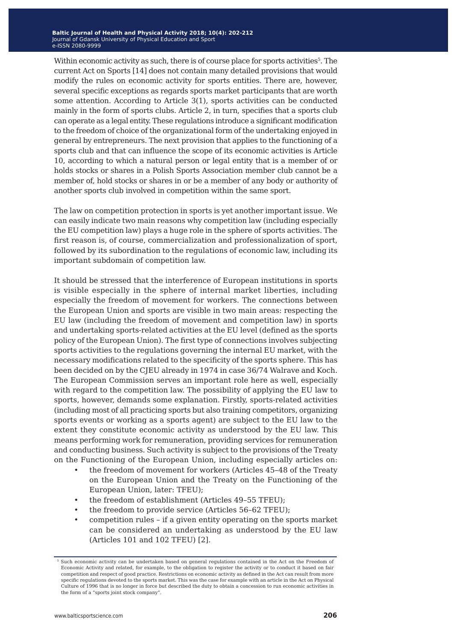Within economic activity as such, there is of course place for sports activities $5$ . The current Act on Sports [14] does not contain many detailed provisions that would modify the rules on economic activity for sports entities. There are, however, several specific exceptions as regards sports market participants that are worth some attention. According to Article 3(1), sports activities can be conducted mainly in the form of sports clubs. Article 2, in turn, specifies that a sports club can operate as a legal entity. These regulations introduce a significant modification to the freedom of choice of the organizational form of the undertaking enjoyed in general by entrepreneurs. The next provision that applies to the functioning of a sports club and that can influence the scope of its economic activities is Article 10, according to which a natural person or legal entity that is a member of or holds stocks or shares in a Polish Sports Association member club cannot be a member of, hold stocks or shares in or be a member of any body or authority of another sports club involved in competition within the same sport.

The law on competition protection in sports is yet another important issue. We can easily indicate two main reasons why competition law (including especially the EU competition law) plays a huge role in the sphere of sports activities. The first reason is, of course, commercialization and professionalization of sport, followed by its subordination to the regulations of economic law, including its important subdomain of competition law.

It should be stressed that the interference of European institutions in sports is visible especially in the sphere of internal market liberties, including especially the freedom of movement for workers. The connections between the European Union and sports are visible in two main areas: respecting the EU law (including the freedom of movement and competition law) in sports and undertaking sports-related activities at the EU level (defined as the sports policy of the European Union). The first type of connections involves subjecting sports activities to the regulations governing the internal EU market, with the necessary modifications related to the specificity of the sports sphere. This has been decided on by the CJEU already in 1974 in case 36/74 Walrave and Koch. The European Commission serves an important role here as well, especially with regard to the competition law. The possibility of applying the EU law to sports, however, demands some explanation. Firstly, sports-related activities (including most of all practicing sports but also training competitors, organizing sports events or working as a sports agent) are subject to the EU law to the extent they constitute economic activity as understood by the EU law. This means performing work for remuneration, providing services for remuneration and conducting business. Such activity is subject to the provisions of the Treaty on the Functioning of the European Union, including especially articles on:

- the freedom of movement for workers (Articles 45-48 of the Treaty on the European Union and the Treaty on the Functioning of the European Union, later: TFEU);
- the freedom of establishment (Articles 49–55 TFEU);
- the freedom to provide service (Articles 56-62 TFEU);
- competition rules if a given entity operating on the sports market can be considered an undertaking as understood by the EU law (Articles 101 and 102 TFEU) [2].

<sup>5</sup> Such economic activity can be undertaken based on general regulations contained in the Act on the Freedom of Economic Activity and related, for example, to the obligation to register the activity or to conduct it based on fair competition and respect of good practice. Restrictions on economic activity as defined in the Act can result from more specific regulations devoted to the sports market. This was the case for example with an article in the Act on Physical Culture of 1996 that is no longer in force but described the duty to obtain a concession to run economic activities in the form of a "sports joint stock company".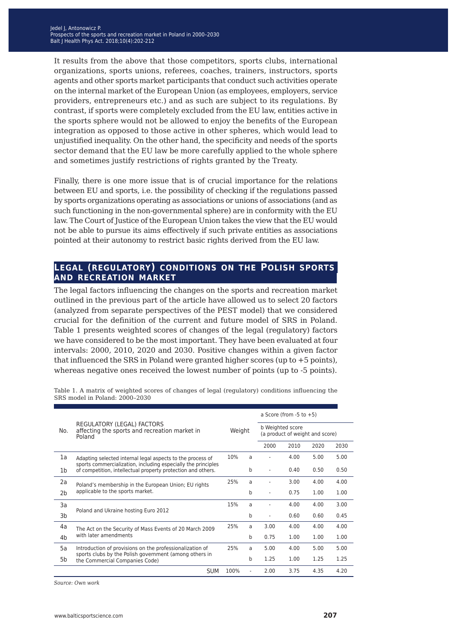It results from the above that those competitors, sports clubs, international organizations, sports unions, referees, coaches, trainers, instructors, sports agents and other sports market participants that conduct such activities operate on the internal market of the European Union (as employees, employers, service providers, entrepreneurs etc.) and as such are subject to its regulations. By contrast, if sports were completely excluded from the EU law, entities active in the sports sphere would not be allowed to enjoy the benefits of the European integration as opposed to those active in other spheres, which would lead to unjustified inequality. On the other hand, the specificity and needs of the sports sector demand that the EU law be more carefully applied to the whole sphere and sometimes justify restrictions of rights granted by the Treaty.

Finally, there is one more issue that is of crucial importance for the relations between EU and sports, i.e. the possibility of checking if the regulations passed by sports organizations operating as associations or unions of associations (and as such functioning in the non-governmental sphere) are in conformity with the EU law. The Court of Justice of the European Union takes the view that the EU would not be able to pursue its aims effectively if such private entities as associations pointed at their autonomy to restrict basic rights derived from the EU law.

### **legal (regulatory) conditions on the Polish sports and recreation market**

The legal factors influencing the changes on the sports and recreation market outlined in the previous part of the article have allowed us to select 20 factors (analyzed from separate perspectives of the PEST model) that we considered crucial for the definition of the current and future model of SRS in Poland. Table 1 presents weighted scores of changes of the legal (regulatory) factors we have considered to be the most important. They have been evaluated at four intervals: 2000, 2010, 2020 and 2030. Positive changes within a given factor that influenced the SRS in Poland were granted higher scores (up to +5 points), whereas negative ones received the lowest number of points (up to -5 points).

|                |                                                                                                                                                                                             |        |   |                                                     | a Score (from $-5$ to $+5$ ) |      |      |  |
|----------------|---------------------------------------------------------------------------------------------------------------------------------------------------------------------------------------------|--------|---|-----------------------------------------------------|------------------------------|------|------|--|
| No.            | REGULATORY (LEGAL) FACTORS<br>affecting the sports and recreation market in<br>Poland                                                                                                       | Weight |   | b Weighted score<br>(a product of weight and score) |                              |      |      |  |
|                |                                                                                                                                                                                             |        |   | 2000                                                | 2010                         | 2020 | 2030 |  |
| 1a             | Adapting selected internal legal aspects to the process of<br>sports commercialization, including especially the principles<br>of competition, intellectual property protection and others. | 10%    | a |                                                     | 4.00                         | 5.00 | 5.00 |  |
| 1b             |                                                                                                                                                                                             |        | b | ٠                                                   | 0.40                         | 0.50 | 0.50 |  |
| 2a             | Poland's membership in the European Union; EU rights<br>applicable to the sports market.<br>2b                                                                                              | 25%    | a |                                                     | 3.00                         | 4.00 | 4.00 |  |
|                |                                                                                                                                                                                             |        | b | ٠                                                   | 0.75                         | 1.00 | 1.00 |  |
| 3a             | Poland and Ukraine hosting Euro 2012                                                                                                                                                        | 15%    | a |                                                     | 4.00                         | 4.00 | 3.00 |  |
| 3b             |                                                                                                                                                                                             |        | b | ٠                                                   | 0.60                         | 0.60 | 0.45 |  |
| 4a             | The Act on the Security of Mass Events of 20 March 2009<br>with later amendments                                                                                                            | 25%    | a | 3.00                                                | 4.00                         | 4.00 | 4.00 |  |
| 4 <sub>b</sub> |                                                                                                                                                                                             |        | b | 0.75                                                | 1.00                         | 1.00 | 1.00 |  |
| 5a             | Introduction of provisions on the professionalization of<br>sports clubs by the Polish government (among others in<br>the Commercial Companies Code)                                        | 25%    | a | 5.00                                                | 4.00                         | 5.00 | 5.00 |  |
| 5b             |                                                                                                                                                                                             |        | b | 1.25                                                | 1.00                         | 1.25 | 1.25 |  |
|                | <b>SUM</b>                                                                                                                                                                                  | 100%   |   | 2.00                                                | 3.75                         | 4.35 | 4.20 |  |

Table 1. A matrix of weighted scores of changes of legal (regulatory) conditions influencing the SRS model in Poland: 2000–2030

*Source: Own work*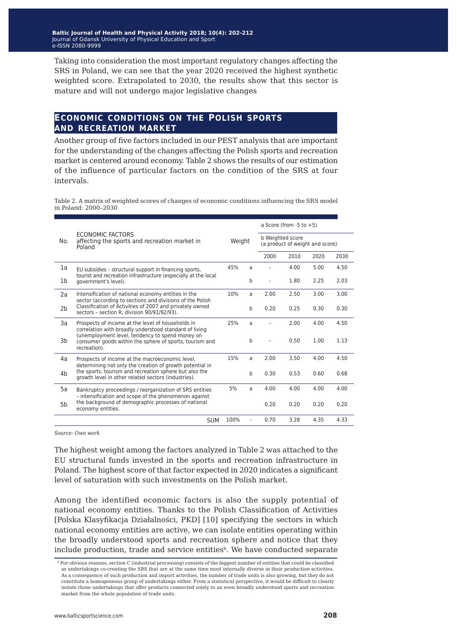Taking into consideration the most important regulatory changes affecting the SRS in Poland, we can see that the year 2020 received the highest synthetic weighted score. Extrapolated to 2030, the results show that this sector is mature and will not undergo major legislative changes

### **economic conditions on the polish sports and recreation market**

Another group of five factors included in our PEST analysis that are important for the understanding of the changes affecting the Polish sports and recreation market is centered around economy. Table 2 shows the results of our estimation of the influence of particular factors on the condition of the SRS at four intervals.

Table 2. A matrix of weighted scores of changes of economic conditions influencing the SRS model in Poland: 2000–2030

|                | ECONOMIC FACTORS<br>affecting the sports and recreation market in<br>Poland                                                |        |   | a Score (from $-5$ to $+5$ )                        |      |      |      |
|----------------|----------------------------------------------------------------------------------------------------------------------------|--------|---|-----------------------------------------------------|------|------|------|
| No.            |                                                                                                                            | Weight |   | b Weighted score<br>(a product of weight and score) |      |      |      |
|                |                                                                                                                            |        |   |                                                     | 2010 | 2020 | 2030 |
| 1a             | EU subsidies - structural support in financing sports,                                                                     | 45%    | a |                                                     | 4.00 | 5.00 | 4.50 |
| 1 <sub>b</sub> | tourist and recreation infrastructure (especially at the local<br>government's level).                                     |        | b |                                                     | 1.80 | 2.25 | 2.03 |
| 2a             | Intensification of national economy entities in the<br>sector (according to sections and divisions of the Polish           | 10%    | a | 2.00                                                | 2.50 | 3.00 | 3.00 |
| 2 <sub>b</sub> | Classification of Activities of 2007 and privately owned<br>sectors - section R. division 90/91/92/93).                    |        | b | 0.20                                                | 0.25 | 0.30 | 0.30 |
| 3a             | Prospects of income at the level of households in<br>correlation with broadly understood standard of living                | 25%    | a |                                                     | 2.00 | 4.00 | 4.50 |
| 3b             | (unemployment level, tendency to spend money on<br>consumer goods within the sphere of sports, tourism and<br>recreation). |        | b |                                                     | 0.50 | 1.00 | 1.13 |
| 4a             | Prospects of income at the macroeconomic level,<br>determining not only the creation of growth potential in                | 15%    | a | 2.00                                                | 3.50 | 4.00 | 4.50 |
| 4 <sub>b</sub> | the sports, tourism and recreation sphere but also the<br>growth level in other related sectors (industries).              |        | b | 0.30                                                | 0.53 | 0.60 | 0.68 |
| 5a             | Bankruptcy proceedings / reorganization of SRS entities<br>- intensification and scope of the phenomenon against           | 5%     | a | 4.00                                                | 4.00 | 4.00 | 4.00 |
| 5 <sub>b</sub> | the background of demographic processes of national<br>economy entities.                                                   |        |   | 0.20                                                | 0.20 | 0.20 | 0.20 |
|                | <b>SUM</b>                                                                                                                 | 100%   |   | 0.70                                                | 3.28 | 4.35 | 4.33 |

*Source: Own work*

The highest weight among the factors analyzed in Table 2 was attached to the EU structural funds invested in the sports and recreation infrastructure in Poland. The highest score of that factor expected in 2020 indicates a significant level of saturation with such investments on the Polish market.

Among the identified economic factors is also the supply potential of national economy entities. Thanks to the Polish Classification of Activities [Polska Klasyfikacja Działalności, PKD] [10] specifying the sectors in which national economy entities are active, we can isolate entities operating within the broadly understood sports and recreation sphere and notice that they include production, trade and service entities<sup>6</sup>. We have conducted separate

<sup>6</sup> For obvious reasons, section C (industrial processing) consists of the biggest number of entities that could be classified as undertakings co-creating the SRS that are at the same time most internally diverse in their production activities. As a consequence of such production and import activities, the number of trade units is also growing, but they do not constitute a homogeneous group of undertakings either. From a statistical perspective, it would be difficult to clearly isolate those undertakings that offer products connected solely to an even broadly understood sports and recreation market from the whole population of trade units.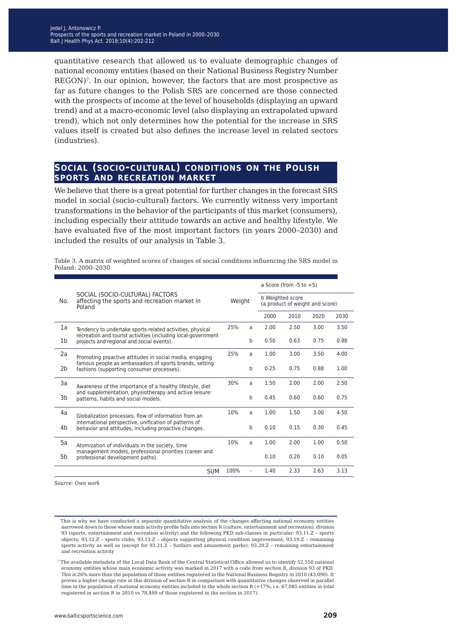quantitative research that allowed us to evaluate demographic changes of national economy entities (based on their National Business Registry Number REGON)<sup>7</sup>. In our opinion, however, the factors that are most prospective as far as future changes to the Polish SRS are concerned are those connected with the prospects of income at the level of households (displaying an upward trend) and at a macro-economic level (also displaying an extrapolated upward trend), which not only determines how the potential for the increase in SRS values itself is created but also defines the increase level in related sectors (industries).

### **social (socio-cultural) conditions on the polish sports and recreation market**

We believe that there is a great potential for further changes in the forecast SRS model in social (socio-cultural) factors. We currently witness very important transformations in the behavior of the participants of this market (consumers), including especially their attitude towards an active and healthy lifestyle. We have evaluated five of the most important factors (in years 2000–2030) and included the results of our analysis in Table 3.

|     | SOCIAL (SOCIO-CULTURAL) FACTORS<br>affecting the sports and recreation market in<br>Poland                                                                      | Weight |   | a Score (from $-5$ to $+5$ )                        |      |      |      |  |
|-----|-----------------------------------------------------------------------------------------------------------------------------------------------------------------|--------|---|-----------------------------------------------------|------|------|------|--|
| No. |                                                                                                                                                                 |        |   | b Weighted score<br>(a product of weight and score) |      |      |      |  |
|     |                                                                                                                                                                 |        |   | 2000                                                | 2010 | 2020 | 2030 |  |
| 1a  | Tendency to undertake sports-related activities, physical                                                                                                       | 25%    | a | 2.00                                                | 2.50 | 3.00 | 3.50 |  |
| 1b  | recreation and tourist activities (including local-government<br>projects and regional and social events).                                                      |        | b | 0.50                                                | 0.63 | 0.75 | 0.88 |  |
| 2a  | Promoting proactive attitudes in social media, engaging                                                                                                         | 25%    | a | 1.00                                                | 3.00 | 3.50 | 4.00 |  |
| 2b  | famous people as ambassadors of sports brands, setting<br>fashions (supporting consumer processes).                                                             |        | b | 0.25                                                | 0.75 | 0.88 | 1.00 |  |
| 3a  | Awareness of the importance of a healthy lifestyle, diet<br>and supplementation, physiotherapy and active leisure:<br>3b<br>patterns, habits and social models. | 30%    | a | 1.50                                                | 2.00 | 2.00 | 2.50 |  |
|     |                                                                                                                                                                 |        | b | 0.45                                                | 0.60 | 0.60 | 0.75 |  |
| 4a  | Globalization processes, flow of information from an                                                                                                            | 10%    | a | 1.00                                                | 1.50 | 3.00 | 4.50 |  |
| 4b  | international perspective, unification of patterns of<br>behavior and attitudes, including proactive changes.                                                   |        | b | 0.10                                                | 0.15 | 0.30 | 0.45 |  |
| 5a  | Atomization of individuals in the society, time<br>management models, professional priorities (career and<br>professional development paths).                   | 10%    | a | 1.00                                                | 2.00 | 1.00 | 0.50 |  |
| 5b  |                                                                                                                                                                 |        |   | 0.10                                                | 0.20 | 0.10 | 0.05 |  |
|     | <b>SUM</b>                                                                                                                                                      | 100%   |   | 1.40                                                | 2.33 | 2.63 | 3.13 |  |

Table 3. A matrix of weighted scores of changes of social conditions influencing the SRS model in Poland: 2000–2030

*Source: Own work*

This is why we have conducted a separate quantitative analysis of the changes affecting national economy entities narrowed down to those whose main activity profile falls into section R (culture, entertainment and recreation), division 93 (sports, entertainment and recreation activity) and the following PKD sub-classes in particular: 93.11.Z – sports objects; 93.12.Z – sports clubs; 93.13.Z – objects supporting physical condition improvement; 93.19.Z – remaining sports activity as well as (except for 93.21.Z – funfairs and amusement parks): 93.29.Z – remaining entertainment and recreation activity

<sup>7</sup> The available metadata of the Local Data Bank of the Central Statistical Office allowed us to identify 52,550 national economy entities whose main economic activity was marked in 2017 with a code from section R, division 93 of PKD. This is 26% more than the population of those entities registered in the National Business Registry in 2010 (43,090). It proves a higher change rate in this division of section R in comparison with quantitative changes observed in parallel time in the population of national economy entities included in the whole section  $R$  (+17%; i.e. 67,085 entities in total registered in section R in 2010 vs 78,489 of those registered in the section in 2017).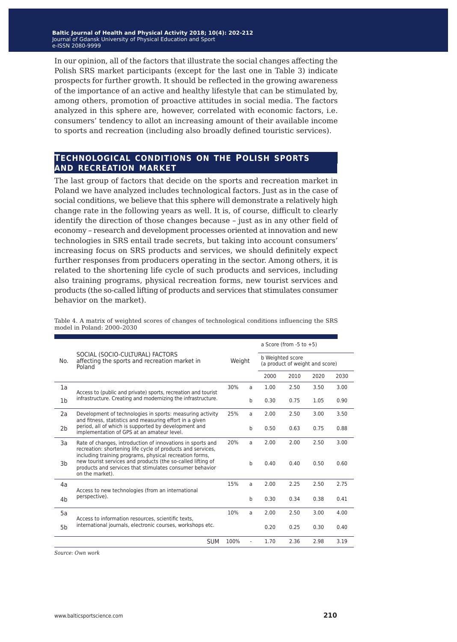In our opinion, all of the factors that illustrate the social changes affecting the Polish SRS market participants (except for the last one in Table 3) indicate prospects for further growth. It should be reflected in the growing awareness of the importance of an active and healthy lifestyle that can be stimulated by, among others, promotion of proactive attitudes in social media. The factors analyzed in this sphere are, however, correlated with economic factors, i.e. consumers' tendency to allot an increasing amount of their available income to sports and recreation (including also broadly defined touristic services).

#### **technological conditions on the polish sports and recreation market**

The last group of factors that decide on the sports and recreation market in Poland we have analyzed includes technological factors. Just as in the case of social conditions, we believe that this sphere will demonstrate a relatively high change rate in the following years as well. It is, of course, difficult to clearly identify the direction of those changes because – just as in any other field of economy – research and development processes oriented at innovation and new technologies in SRS entail trade secrets, but taking into account consumers' increasing focus on SRS products and services, we should definitely expect further responses from producers operating in the sector. Among others, it is related to the shortening life cycle of such products and services, including also training programs, physical recreation forms, new tourist services and products (the so-called lifting of products and services that stimulates consumer behavior on the market).

Table 4. A matrix of weighted scores of changes of technological conditions influencing the SRS model in Poland: 2000–2030

|                |                                                                                                                                                                                                      |        |             |                                                     | a Score (from $-5$ to $+5$ ) |      |      |  |
|----------------|------------------------------------------------------------------------------------------------------------------------------------------------------------------------------------------------------|--------|-------------|-----------------------------------------------------|------------------------------|------|------|--|
| No.            | SOCIAL (SOCIO-CULTURAL) FACTORS<br>affecting the sports and recreation market in<br>Poland                                                                                                           | Weight |             | b Weighted score<br>(a product of weight and score) |                              |      |      |  |
|                |                                                                                                                                                                                                      |        |             | 2000                                                | 2010                         | 2020 | 2030 |  |
| 1a             | Access to (public and private) sports, recreation and tourist                                                                                                                                        | 30%    | a           | 1.00                                                | 2.50                         | 3.50 | 3.00 |  |
| 1 <sub>b</sub> | infrastructure. Creating and modernizing the infrastructure.                                                                                                                                         |        | $\mathbf b$ | 0.30                                                | 0.75                         | 1.05 | 0.90 |  |
| 2a             | Development of technologies in sports: measuring activity<br>and fitness, statistics and measuring effort in a given                                                                                 | 25%    | a           | 2.00                                                | 2.50                         | 3.00 | 3.50 |  |
| 2 <sub>b</sub> | period, all of which is supported by development and<br>implementation of GPS at an amateur level.                                                                                                   |        | $\mathbf b$ | 0.50                                                | 0.63                         | 0.75 | 0.88 |  |
| 3a             | Rate of changes, introduction of innovations in sports and<br>recreation: shortening life cycle of products and services,                                                                            | 20%    | a           | 2.00                                                | 2.00                         | 2.50 | 3.00 |  |
| 3b             | including training programs, physical recreation forms,<br>new tourist services and products (the so-called lifting of<br>products and services that stimulates consumer behavior<br>on the market). |        | $\mathbf b$ | 0.40                                                | 0.40                         | 0.50 | 0.60 |  |
| 4a             | Access to new technologies (from an international                                                                                                                                                    | 15%    | a           | 2.00                                                | 2.25                         | 2.50 | 2.75 |  |
| 4 <sub>b</sub> | perspective).                                                                                                                                                                                        |        | $\mathbf b$ | 0.30                                                | 0.34                         | 0.38 | 0.41 |  |
| 5a             | Access to information resources, scientific texts,<br>international journals, electronic courses, workshops etc.                                                                                     | 10%    | a           | 2.00                                                | 2.50                         | 3.00 | 4.00 |  |
| 5 <sub>b</sub> |                                                                                                                                                                                                      |        |             | 0.20                                                | 0.25                         | 0.30 | 0.40 |  |
|                | <b>SUM</b>                                                                                                                                                                                           | 100%   |             | 1.70                                                | 2.36                         | 2.98 | 3.19 |  |

*Source: Own work*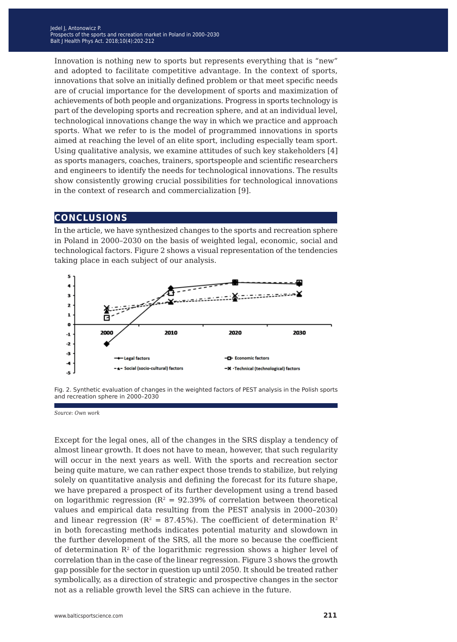Innovation is nothing new to sports but represents everything that is "new" and adopted to facilitate competitive advantage. In the context of sports, innovations that solve an initially defined problem or that meet specific needs are of crucial importance for the development of sports and maximization of achievements of both people and organizations. Progress in sports technology is part of the developing sports and recreation sphere, and at an individual level, technological innovations change the way in which we practice and approach sports. What we refer to is the model of programmed innovations in sports aimed at reaching the level of an elite sport, including especially team sport. Using qualitative analysis, we examine attitudes of such key stakeholders [4] as sports managers, coaches, trainers, sportspeople and scientific researchers and engineers to identify the needs for technological innovations. The results show consistently growing crucial possibilities for technological innovations in the context of research and commercialization [9].

## **conclusions**

In the article, we have synthesized changes to the sports and recreation sphere in Poland in 2000–2030 on the basis of weighted legal, economic, social and technological factors. Figure 2 shows a visual representation of the tendencies taking place in each subject of our analysis.



Fig. 2. Synthetic evaluation of changes in the weighted factors of PEST analysis in the Polish sports and recreation sphere in 2000–2030

*Source: Own work* 

Except for the legal ones, all of the changes in the SRS display a tendency of almost linear growth. It does not have to mean, however, that such regularity will occur in the next years as well. With the sports and recreation sector being quite mature, we can rather expect those trends to stabilize, but relying solely on quantitative analysis and defining the forecast for its future shape, we have prepared a prospect of its further development using a trend based on logarithmic regression ( $R^2 = 92.39\%$  of correlation between theoretical values and empirical data resulting from the PEST analysis in 2000–2030) and linear regression ( $R^2 = 87.45\%$ ). The coefficient of determination  $R^2$ in both forecasting methods indicates potential maturity and slowdown in the further development of the SRS, all the more so because the coefficient of determination  $\mathbb{R}^2$  of the logarithmic regression shows a higher level of correlation than in the case of the linear regression. Figure 3 shows the growth gap possible for the sector in question up until 2050. It should be treated rather symbolically, as a direction of strategic and prospective changes in the sector not as a reliable growth level the SRS can achieve in the future.